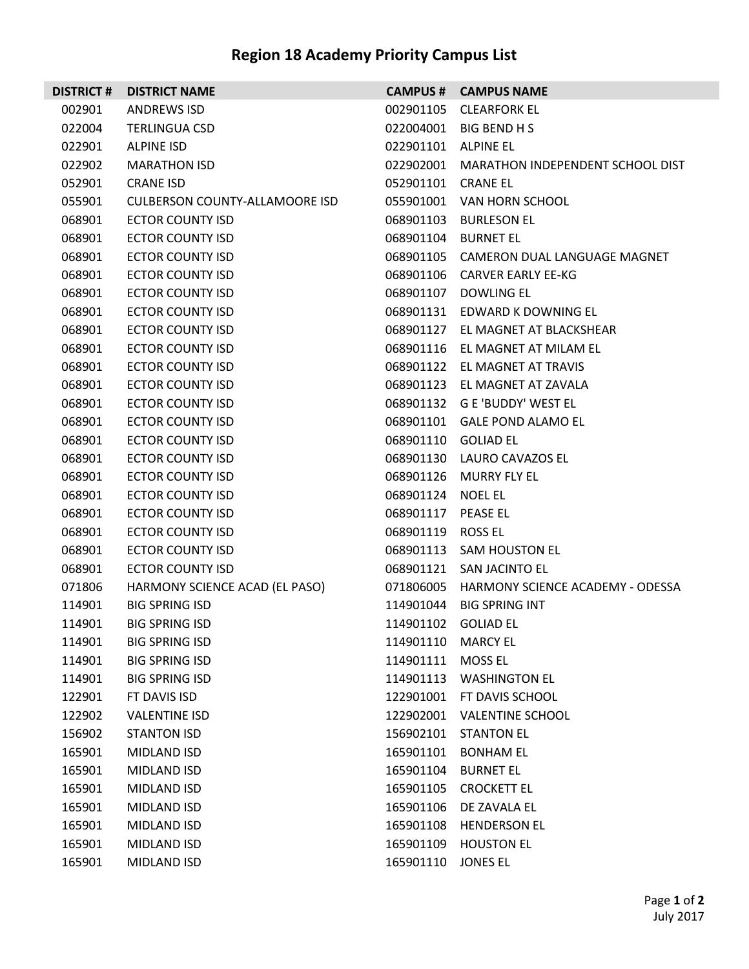## **Region 18 Academy Priority Campus List**

| <b>DISTRICT#</b> | <b>DISTRICT NAME</b>                  |                     | <b>CAMPUS # CAMPUS NAME</b>            |
|------------------|---------------------------------------|---------------------|----------------------------------------|
| 002901           | <b>ANDREWS ISD</b>                    | 002901105           | <b>CLEARFORK EL</b>                    |
| 022004           | <b>TERLINGUA CSD</b>                  | 022004001           | BIG BEND H S                           |
| 022901           | <b>ALPINE ISD</b>                     | 022901101           | ALPINE EL                              |
| 022902           | <b>MARATHON ISD</b>                   | 022902001           | MARATHON INDEPENDENT SCHOOL DIST       |
| 052901           | <b>CRANE ISD</b>                      | 052901101           | CRANE EL                               |
| 055901           | <b>CULBERSON COUNTY-ALLAMOORE ISD</b> |                     | 055901001 VAN HORN SCHOOL              |
| 068901           | ECTOR COUNTY ISD                      | 068901103           | <b>BURLESON EL</b>                     |
| 068901           | <b>ECTOR COUNTY ISD</b>               | 068901104           | <b>BURNET EL</b>                       |
| 068901           | <b>ECTOR COUNTY ISD</b>               |                     | 068901105 CAMERON DUAL LANGUAGE MAGNET |
| 068901           | ECTOR COUNTY ISD                      |                     | 068901106 CARVER EARLY EE-KG           |
| 068901           | ECTOR COUNTY ISD                      |                     | 068901107 DOWLING EL                   |
| 068901           | <b>ECTOR COUNTY ISD</b>               |                     | 068901131 EDWARD K DOWNING EL          |
| 068901           | <b>ECTOR COUNTY ISD</b>               | 068901127           | EL MAGNET AT BLACKSHEAR                |
| 068901           | ECTOR COUNTY ISD                      |                     | 068901116 EL MAGNET AT MILAM EL        |
| 068901           | ECTOR COUNTY ISD                      |                     | 068901122 EL MAGNET AT TRAVIS          |
| 068901           | <b>ECTOR COUNTY ISD</b>               |                     | 068901123 EL MAGNET AT ZAVALA          |
| 068901           | <b>ECTOR COUNTY ISD</b>               |                     | 068901132 G E 'BUDDY' WEST EL          |
| 068901           | ECTOR COUNTY ISD                      |                     | 068901101 GALE POND ALAMO EL           |
| 068901           | ECTOR COUNTY ISD                      | 068901110 GOLIAD EL |                                        |
| 068901           | <b>ECTOR COUNTY ISD</b>               |                     | 068901130 LAURO CAVAZOS EL             |
| 068901           | <b>ECTOR COUNTY ISD</b>               | 068901126           | MURRY FLY EL                           |
| 068901           | ECTOR COUNTY ISD                      | 068901124 NOEL EL   |                                        |
| 068901           | ECTOR COUNTY ISD                      | 068901117           | PEASE EL                               |
| 068901           | <b>ECTOR COUNTY ISD</b>               | 068901119           | ROSS EL                                |
| 068901           | <b>ECTOR COUNTY ISD</b>               |                     | 068901113 SAM HOUSTON EL               |
| 068901           | ECTOR COUNTY ISD                      |                     | 068901121 SAN JACINTO EL               |
| 071806           | HARMONY SCIENCE ACAD (EL PASO)        | 071806005           | HARMONY SCIENCE ACADEMY - ODESSA       |
| 114901           | <b>BIG SPRING ISD</b>                 |                     | 114901044 BIG SPRING INT               |
| 114901           | <b>BIG SPRING ISD</b>                 | 114901102 GOLIAD EL |                                        |
| 114901           | <b>BIG SPRING ISD</b>                 | 114901110 MARCY EL  |                                        |
| 114901           | <b>BIG SPRING ISD</b>                 | 114901111           | <b>MOSS EL</b>                         |
| 114901           | <b>BIG SPRING ISD</b>                 |                     | 114901113 WASHINGTON EL                |
| 122901           | FT DAVIS ISD                          | 122901001           | FT DAVIS SCHOOL                        |
| 122902           | <b>VALENTINE ISD</b>                  |                     | 122902001 VALENTINE SCHOOL             |
| 156902           | <b>STANTON ISD</b>                    | 156902101           | <b>STANTON EL</b>                      |
| 165901           | MIDLAND ISD                           | 165901101           | <b>BONHAM EL</b>                       |
| 165901           | MIDLAND ISD                           | 165901104           | <b>BURNET EL</b>                       |
| 165901           | MIDLAND ISD                           | 165901105           | <b>CROCKETT EL</b>                     |
| 165901           | MIDLAND ISD                           | 165901106           | DE ZAVALA EL                           |
| 165901           | MIDLAND ISD                           | 165901108           | <b>HENDERSON EL</b>                    |
| 165901           | MIDLAND ISD                           | 165901109           | <b>HOUSTON EL</b>                      |
| 165901           | <b>MIDLAND ISD</b>                    | 165901110           | <b>JONES EL</b>                        |